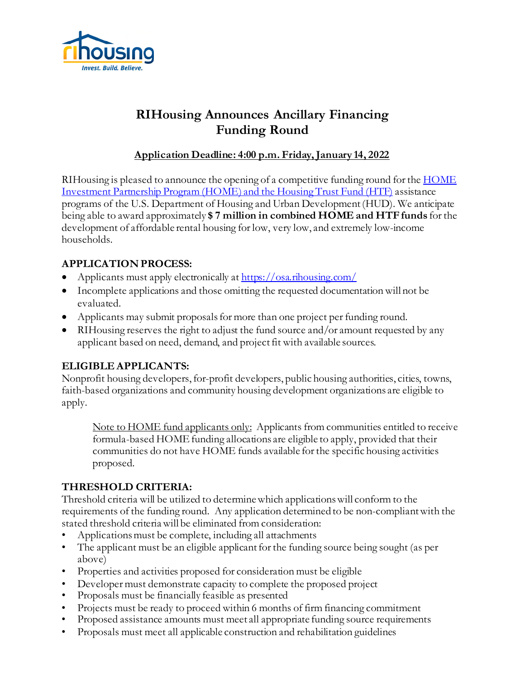

## **RIHousing Announces Ancillary Financing Funding Round**

### **Application Deadline: 4:00 p.m. Friday, January 14, 2022**

RIHousing is pleased to announce the opening of a competitive funding round for the [HOME](https://www.rihousing.com/home-htf/) [Investment Partnership Program \(HOME\)](https://www.rihousing.com/home-htf/) and the Housing Trust Fund (HTF) assistance programs of the U.S. Department of Housing and Urban Development (HUD). We anticipate being able to award approximately **\$ 7 million in combined HOME and HTF funds** for the development of affordable rental housing for low, very low, and extremely low-income households.

## **APPLICATION PROCESS:**

- Applicants must apply electronically a[t https://osa.rihousing.com/](https://osa.rihousing.com/)
- Incomplete applications and those omitting the requested documentation will not be evaluated.
- Applicants may submit proposals for more than one project per funding round.
- RIHousing reserves the right to adjust the fund source and/or amount requested by any applicant based on need, demand, and project fit with available sources.

#### **ELIGIBLE APPLICANTS:**

Nonprofit housing developers, for-profit developers, public housing authorities, cities, towns, faith-based organizations and community housing development organizations are eligible to apply.

Note to HOME fund applicants only: Applicants from communities entitled to receive formula-based HOME funding allocations are eligible to apply, provided that their communities do not have HOME funds available for the specific housing activities proposed.

#### **THRESHOLD CRITERIA:**

Threshold criteria will be utilized to determine which applications will conform to the requirements of the funding round. Any application determined to be non-compliant with the stated threshold criteria will be eliminated from consideration:

- Applications must be complete, including all attachments
- The applicant must be an eligible applicant for the funding source being sought (as per above)
- Properties and activities proposed for consideration must be eligible
- Developer must demonstrate capacity to complete the proposed project
- Proposals must be financially feasible as presented
- Projects must be ready to proceed within 6 months of firm financing commitment
- Proposed assistance amounts must meet all appropriate funding source requirements
- Proposals must meet all applicable construction and rehabilitation guidelines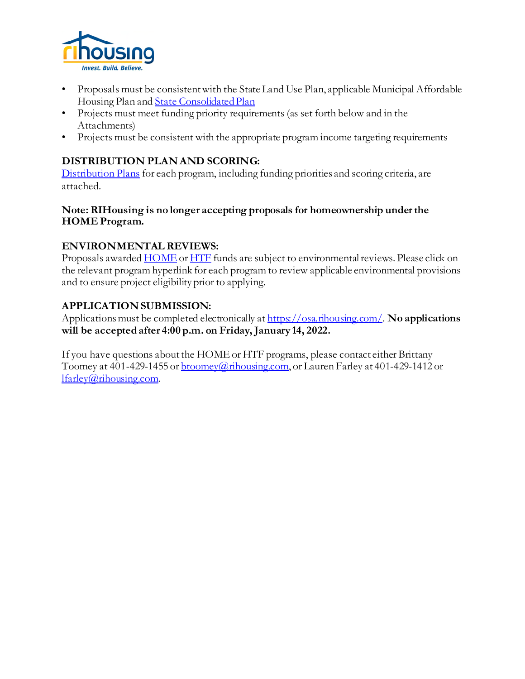

- Proposals must be consistent with the State Land Use Plan, applicable Municipal Affordable Housing Plan an[d State Consolidated Plan](https://www.rihousing.com/wp-content/uploads/FINAL-2020-2024-Rhode-Island-Consolidated-Plan_PUBLICATION_7.9.pdf)
- Projects must meet funding priority requirements (as set forth below and in the Attachments)
- Projects must be consistent with the appropriate program income targeting requirements

### **DISTRIBUTION PLAN AND SCORING:**

[Distribution Plans](https://www.rihousing.com/wp-content/uploads/aap20.pdf) for each program, including funding priorities and scoring criteria, are attached.

#### **Note: RIHousing is no longer accepting proposals for homeownership under the HOME Program.**

#### **ENVIRONMENTAL REVIEWS:**

Proposals awarded **HOME** o[r HTF](https://www.hudexchange.info/programs/environmental-review/htf/) funds are subject to environmental reviews. Please click on the relevant program hyperlink for each program to review applicable environmental provisions and to ensure project eligibility prior to applying.

#### **APPLICATION SUBMISSION:**

Applications must be completed electronically a[t https://osa.rihousing.com/](https://osa.rihousing.com/). **No applications will be accepted after 4:00 p.m. on Friday, January 14, 2022.** 

If you have questions about the HOMEor HTF programs, please contact either Brittany Toomey at 401-429-1455 or  $\underline{b}$  toomey@rihousing.com, or Lauren Farley at 401-429-1412 or [lfarley@rihousing.com](mailto:lfarley@rihousing.com).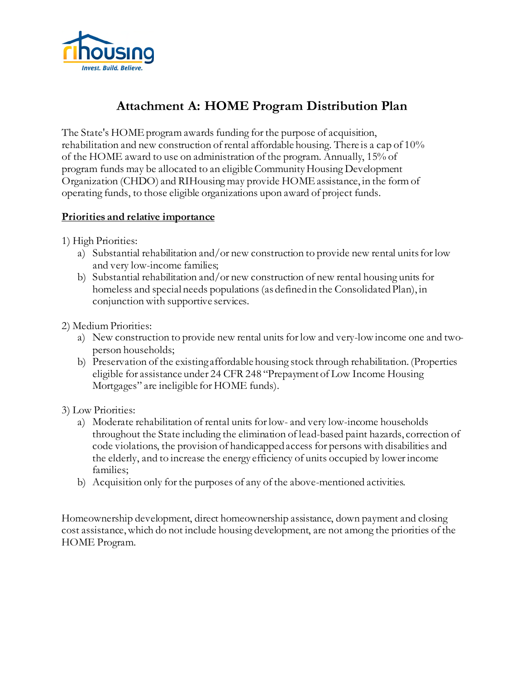

## **Attachment A: HOME Program Distribution Plan**

The State's HOME program awards funding for the purpose of acquisition, rehabilitation and new construction of rental affordable housing. There is a cap of 10% of the HOME award to use on administration of the program. Annually, 15% of program funds may be allocated to an eligible Community Housing Development Organization (CHDO) and RIHousing may provide HOME assistance, in the form of operating funds, to those eligible organizations upon award of project funds.

#### **Priorities and relative importance**

1) High Priorities:

- a) Substantial rehabilitation and/or new construction to provide new rental units for low and very low-income families;
- b) Substantial rehabilitation and/or new construction of new rental housing units for homeless and special needs populations (as defined in the Consolidated Plan), in conjunction with supportive services.

2) Medium Priorities:

- a) New construction to provide new rental units for low and very-low income one and twoperson households;
- b) Preservation of the existing affordable housing stock through rehabilitation. (Properties eligible for assistance under 24 CFR 248 "Prepayment of Low Income Housing Mortgages" are ineligible for HOME funds).

#### 3) Low Priorities:

- a) Moderate rehabilitation of rental units for low- and very low-income households throughout the State including the elimination of lead-based paint hazards, correction of code violations, the provision of handicapped access for persons with disabilities and the elderly, and to increase the energy efficiency of units occupied by lower income families;
- b) Acquisition only for the purposes of any of the above-mentioned activities.

Homeownership development, direct homeownership assistance, down payment and closing cost assistance, which do not include housing development, are not among the priorities of the HOME Program.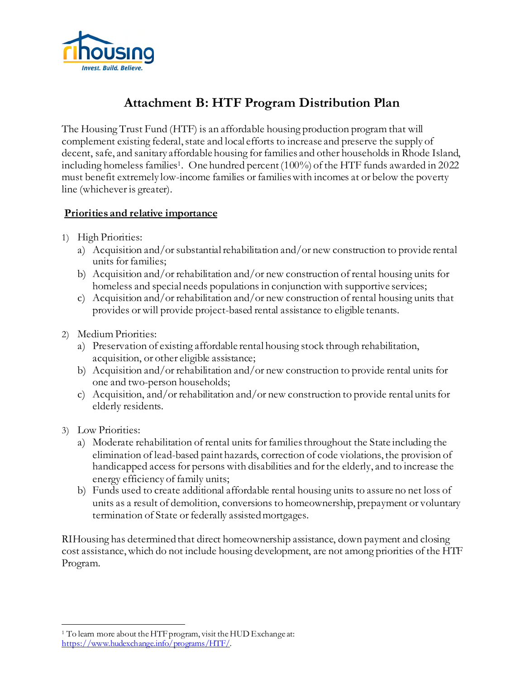

# **Attachment B: HTF Program Distribution Plan**

The Housing Trust Fund (HTF) is an affordable housing production program that will complement existing federal, state and local efforts to increase and preserve the supply of decent, safe, and sanitary affordable housing for families and other households in Rhode Island, including homeless families<sup>1</sup>. One hundred percent  $(100\%)$  of the HTF funds awarded in 2022 must benefit extremely low-income families or families with incomes at or below the poverty line (whichever is greater).

#### **Priorities and relative importance**

- 1) High Priorities:
	- a) Acquisition and/or substantial rehabilitation and/or new construction to provide rental units for families;
	- b) Acquisition and/or rehabilitation and/or new construction of rental housing units for homeless and special needs populations in conjunction with supportive services;
	- c) Acquisition and/or rehabilitation and/or new construction of rental housing units that provides or will provide project-based rental assistance to eligible tenants.
- 2) Medium Priorities:
	- a) Preservation of existing affordable rental housing stock through rehabilitation, acquisition, or other eligible assistance;
	- b) Acquisition and/or rehabilitation and/or new construction to provide rental units for one and two-person households;
	- c) Acquisition, and/or rehabilitation and/or new construction to provide rental units for elderly residents.
- 3) Low Priorities:
	- a) Moderate rehabilitation of rental units for families throughout the State including the elimination of lead-based paint hazards, correction of code violations, the provision of handicapped access for persons with disabilities and for the elderly, and to increase the energy efficiency of family units;
	- b) Funds used to create additional affordable rental housing units to assure no net loss of units as a result of demolition, conversions to homeownership, prepayment or voluntary termination of State or federally assisted mortgages.

RIHousing has determined that direct homeownership assistance, down payment and closing cost assistance, which do not include housing development, are not among priorities of the HTF Program.

<span id="page-3-0"></span><sup>&</sup>lt;sup>1</sup> To learn more about the HTF program, visit the HUD Exchange at: [https://www.hudexchange.info/programs/HTF/](https://www.hudexchange.info/programs/htf/).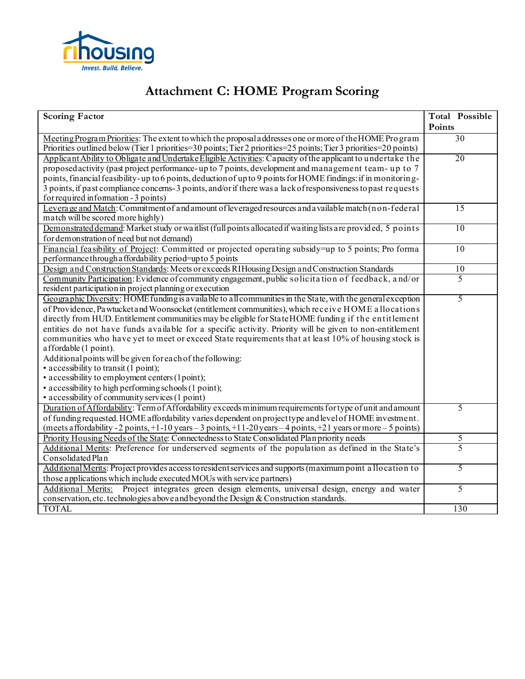

# **Attachment C: HOME Program Scoring**

| <b>Scoring Factor</b>                                                                                             | Total Possible |
|-------------------------------------------------------------------------------------------------------------------|----------------|
|                                                                                                                   | Points         |
| Meeting Program Priorities: The extent to which the proposal addresses one or more of the HOME Program            | 30             |
| Priorities outlined below (Tier 1 priorities=30 points; Tier 2 priorities=25 points; Tier 3 priorities=20 points) |                |
| Applicant Ability to Obligate and Undertake Eligible Activities: Capacity of the applicant to undertake the       | 20             |
| proposed activity (past project performance-up to 7 points, development and management team-up to 7               |                |
| points, financial feasibility-up to 6 points, deduction of up to 9 points for HOME findings: if in monitoring-    |                |
| 3 points, if past compliance concerns-3 points, and/or if there was a lack of responsiveness to past requests     |                |
| for required information - 3 points)                                                                              |                |
| Leverage and Match: Commitment of and amount of leveraged resources and a vailable match (n on-federal            | 15             |
| match will be scored more highly)                                                                                 |                |
| Demonstrated demand: Market study or waitlist (full points allocated if waiting lists are provided, 5 points      | 10             |
| for demonstration of need but not demand)                                                                         |                |
| Financial feasibility of Project: Committed or projected operating subsidy=up to 5 points; Pro forma              | 10             |
| performance through a ffordability period=up to 5 points                                                          |                |
| Design and Construction Standards: Meets or exceeds RIHousing Design and Construction Standards                   | 10             |
| Community Participation: Evidence of community engagement, public solicitation of feedback, and/or                | 5              |
| resident participation in project planning or execution                                                           |                |
| Geographic Diversity: HOME funding is a vailable to all communities in the State, with the general exception      | 5              |
| of Providence, Pawtucket and Woonsocket (entitlement communities), which receive HOME allocations                 |                |
| directly from HUD. Entitlement communities may be eligible for State HOME funding if the entitlement              |                |
| entities do not have funds available for a specific activity. Priority will be given to non-entitlement           |                |
| communities who have yet to meet or exceed State requirements that at least 10% of housing stock is               |                |
| affordable (1 point).                                                                                             |                |
| Additional points will be given for each of the following:                                                        |                |
| • accessibility to transit (1 point);                                                                             |                |
| • accessibility to employment centers (1 point);                                                                  |                |
| • accessibility to high performing schools (1 point);                                                             |                |
| • accessibility of community services (1 point)                                                                   |                |
| Duration of Affordability: Term of Affordability exceeds minimum requirements for type of unit and amount         | 5              |
| of funding requested. HOME affordability varies dependent on projecttype and level of HOME investment.            |                |
| (meets a ffordability - 2 points, +1-10 years - 3 points, +11-20 years - 4 points, +21 years or more - 5 points)  |                |
| Priority Housing Needs of the State: Connectedness to State Consolidated Plan priority needs                      | 5              |
| Additional Merits: Preference for underserved segments of the population as defined in the State's                | 5              |
| Consolidated Plan                                                                                                 |                |
| Additional Merits: Project provides access to resident services and supports (maximum point a llocation to        | 5              |
| those applications which include executed MOUs with service partners)                                             |                |
| Additional Merits: Project integrates green design elements, universal design, energy and water                   | $\overline{5}$ |
| conservation, etc. technologies a bove and beyond the Design & Construction standards.                            |                |
| <b>TOTAL</b>                                                                                                      | 130            |